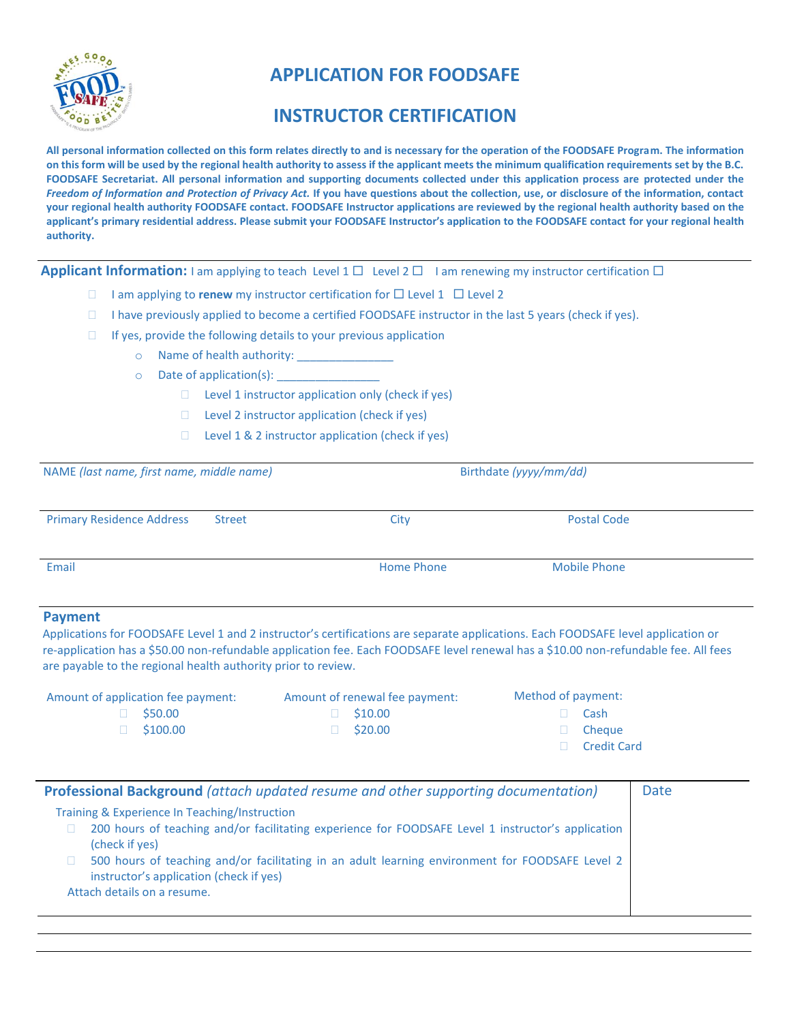

## **APPLICATION FOR FOODSAFE**

## **INSTRUCTOR CERTIFICATION**

**All personal information collected on this form relates directly to and is necessary for the operation of the FOODSAFE Program. The information on this form will be used by the regional health authority to assess if the applicant meets the minimum qualification requirements set by the B.C. FOODSAFE Secretariat. All personal information and supporting documents collected under this application process are protected under the**  *Freedom of Information and Protection of Privacy Act.* **If you have questions about the collection, use, or disclosure of the information, contact your regional health authority FOODSAFE contact. FOODSAFE Instructor applications are reviewed by the regional health authority based on the applicant's primary residential address. Please submit your FOODSAFE Instructor's application to the FOODSAFE contact for your regional health authority.**

**Applicant Information:** I am applying to teach Level 1  $\Box$  Level 2  $\Box$  I am renewing my instructor certification  $\Box$ 

- I am applying to **renew** my instructor certification for  $\Box$  Level 2 Level 2
- $\Box$  I have previously applied to become a certified FOODSAFE instructor in the last 5 years (check if yes).
- $\Box$  If yes, provide the following details to your previous application
	- o Name of health authority:

 $\circ$  Date of application(s):

- $\Box$  Level 1 instructor application only (check if yes)
- $\Box$  Level 2 instructor application (check if yes)
- $\Box$  Level 1 & 2 instructor application (check if yes)

| NAME (last name, first name, middle name)         | Birthdate (yyyy/mm/dd) |                     |  |
|---------------------------------------------------|------------------------|---------------------|--|
| <b>Primary Residence Address</b><br><b>Street</b> | City                   | <b>Postal Code</b>  |  |
| Email                                             | <b>Home Phone</b>      | <b>Mobile Phone</b> |  |

## **Payment**

Applications for FOODSAFE Level 1 and 2 instructor's certifications are separate applications. Each FOODSAFE level application or re-application has a \$50.00 non-refundable application fee. Each FOODSAFE level renewal has a \$10.00 non-refundable fee. All fees are payable to the regional health authority prior to review.

| Amount of application fee payment: | Amount of renewal fee payment: | Method of payment: |                    |
|------------------------------------|--------------------------------|--------------------|--------------------|
| \$50.00                            | $\Box$ \$10.00                 |                    | Cash               |
| \$100.00                           | $\Box$ \$20.00                 | $\mathbf{H}$       | Cheaue             |
|                                    |                                |                    | <b>Credit Card</b> |
|                                    |                                |                    |                    |

| Training & Experience In Teaching/Instruction<br>200 hours of teaching and/or facilitating experience for FOODSAFE Level 1 instructor's application<br>(check if yes)     |  |
|---------------------------------------------------------------------------------------------------------------------------------------------------------------------------|--|
| 500 hours of teaching and/or facilitating in an adult learning environment for FOODSAFE Level 2<br>instructor's application (check if yes)<br>Attach details on a resume. |  |